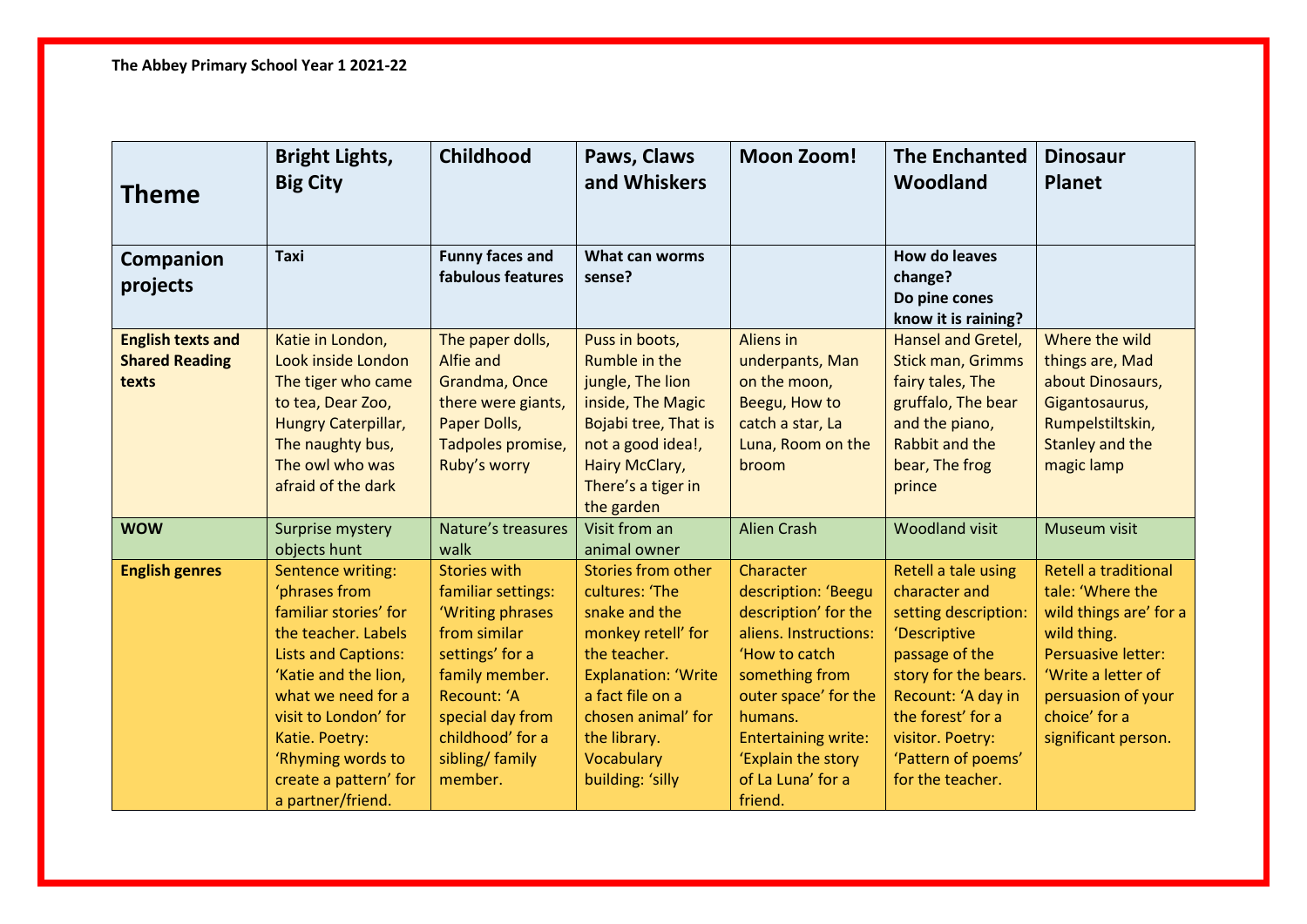| Theme                                                      | <b>Bright Lights,</b><br><b>Big City</b>                                                                                                                                                                                                                                    | Childhood                                                                                                                                                                                               | Paws, Claws<br>and Whiskers                                                                                                                                                                                           | <b>Moon Zoom!</b>                                                                                                                                                                                                                           | <b>The Enchanted</b><br>Woodland                                                                                                                                                                                                | <b>Dinosaur</b><br><b>Planet</b>                                                                                                                                                                          |
|------------------------------------------------------------|-----------------------------------------------------------------------------------------------------------------------------------------------------------------------------------------------------------------------------------------------------------------------------|---------------------------------------------------------------------------------------------------------------------------------------------------------------------------------------------------------|-----------------------------------------------------------------------------------------------------------------------------------------------------------------------------------------------------------------------|---------------------------------------------------------------------------------------------------------------------------------------------------------------------------------------------------------------------------------------------|---------------------------------------------------------------------------------------------------------------------------------------------------------------------------------------------------------------------------------|-----------------------------------------------------------------------------------------------------------------------------------------------------------------------------------------------------------|
| Companion<br>projects                                      | <b>Taxi</b>                                                                                                                                                                                                                                                                 | <b>Funny faces and</b><br>fabulous features                                                                                                                                                             | What can worms<br>sense?                                                                                                                                                                                              |                                                                                                                                                                                                                                             | <b>How do leaves</b><br>change?<br>Do pine cones<br>know it is raining?                                                                                                                                                         |                                                                                                                                                                                                           |
| <b>English texts and</b><br><b>Shared Reading</b><br>texts | Katie in London,<br>Look inside London<br>The tiger who came<br>to tea, Dear Zoo,<br>Hungry Caterpillar,<br>The naughty bus,<br>The owl who was<br>afraid of the dark                                                                                                       | The paper dolls,<br>Alfie and<br>Grandma, Once<br>there were giants,<br>Paper Dolls,<br>Tadpoles promise,<br>Ruby's worry                                                                               | Puss in boots,<br>Rumble in the<br>jungle, The lion<br>inside, The Magic<br>Bojabi tree, That is<br>not a good idea!,<br><b>Hairy McClary,</b><br>There's a tiger in<br>the garden                                    | Aliens in<br>underpants, Man<br>on the moon,<br>Beegu, How to<br>catch a star, La<br>Luna, Room on the<br>broom                                                                                                                             | <b>Hansel and Gretel,</b><br><b>Stick man, Grimms</b><br>fairy tales, The<br>gruffalo, The bear<br>and the piano,<br><b>Rabbit and the</b><br>bear, The frog<br>prince                                                          | Where the wild<br>things are, Mad<br>about Dinosaurs,<br>Gigantosaurus,<br>Rumpelstiltskin,<br>Stanley and the<br>magic lamp                                                                              |
| <b>WOW</b>                                                 | Surprise mystery<br>objects hunt                                                                                                                                                                                                                                            | Nature's treasures<br>walk                                                                                                                                                                              | Visit from an<br>animal owner                                                                                                                                                                                         | <b>Alien Crash</b>                                                                                                                                                                                                                          | <b>Woodland visit</b>                                                                                                                                                                                                           | Museum visit                                                                                                                                                                                              |
| <b>English genres</b>                                      | Sentence writing:<br>'phrases from<br>familiar stories' for<br>the teacher. Labels<br><b>Lists and Captions:</b><br>'Katie and the lion,<br>what we need for a<br>visit to London' for<br>Katie. Poetry:<br>'Rhyming words to<br>create a pattern' for<br>a partner/friend. | <b>Stories with</b><br>familiar settings:<br>'Writing phrases<br>from similar<br>settings' for a<br>family member.<br>Recount: 'A<br>special day from<br>childhood' for a<br>sibling/ family<br>member. | Stories from other<br>cultures: 'The<br>snake and the<br>monkey retell' for<br>the teacher.<br><b>Explanation: 'Write</b><br>a fact file on a<br>chosen animal' for<br>the library.<br>Vocabulary<br>building: 'silly | Character<br>description: 'Beegu<br>description' for the<br>aliens. Instructions:<br>'How to catch<br>something from<br>outer space' for the<br>humans.<br><b>Entertaining write:</b><br>'Explain the story<br>of La Luna' for a<br>friend. | Retell a tale using<br>character and<br>setting description:<br>'Descriptive<br>passage of the<br>story for the bears.<br>Recount: 'A day in<br>the forest' for a<br>visitor. Poetry:<br>'Pattern of poems'<br>for the teacher. | <b>Retell a traditional</b><br>tale: 'Where the<br>wild things are' for a<br>wild thing.<br><b>Persuasive letter:</b><br>'Write a letter of<br>persuasion of your<br>choice' for a<br>significant person. |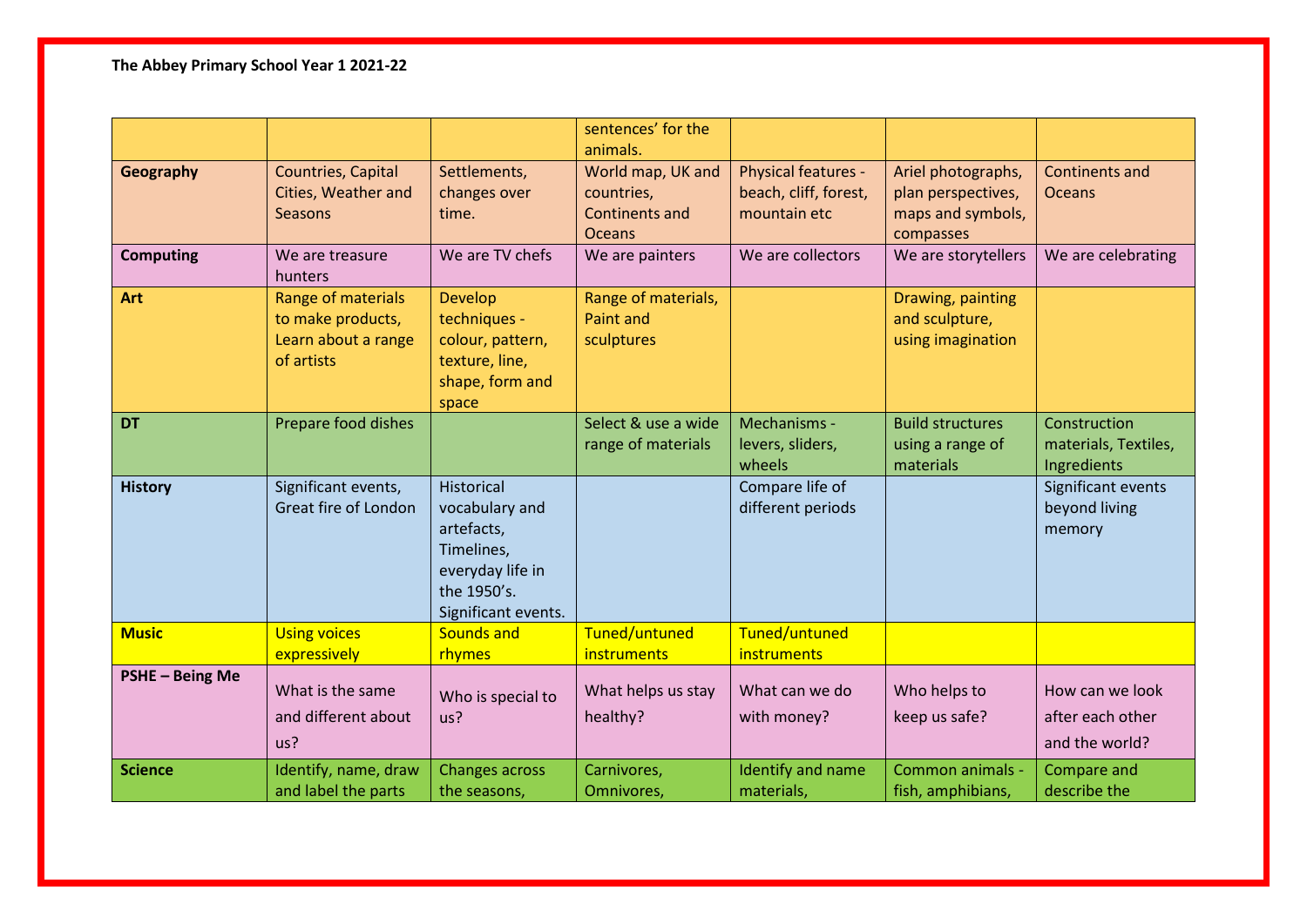**The Abbey Primary School Year 1 2021-22**

|                  |                                                                              |                                                                                                                    | sentences' for the<br>animals.                                            |                                                              |                                                                            |                                                       |
|------------------|------------------------------------------------------------------------------|--------------------------------------------------------------------------------------------------------------------|---------------------------------------------------------------------------|--------------------------------------------------------------|----------------------------------------------------------------------------|-------------------------------------------------------|
| Geography        | Countries, Capital<br>Cities, Weather and<br><b>Seasons</b>                  | Settlements,<br>changes over<br>time.                                                                              | World map, UK and<br>countries,<br><b>Continents and</b><br><b>Oceans</b> | Physical features -<br>beach, cliff, forest,<br>mountain etc | Ariel photographs,<br>plan perspectives,<br>maps and symbols,<br>compasses | <b>Continents and</b><br><b>Oceans</b>                |
| <b>Computing</b> | We are treasure<br>hunters                                                   | We are TV chefs                                                                                                    | We are painters                                                           | We are collectors                                            | We are storytellers                                                        | We are celebrating                                    |
| Art              | Range of materials<br>to make products,<br>Learn about a range<br>of artists | <b>Develop</b><br>techniques -<br>colour, pattern,<br>texture, line,<br>shape, form and<br>space                   | Range of materials,<br>Paint and<br>sculptures                            |                                                              | Drawing, painting<br>and sculpture,<br>using imagination                   |                                                       |
| <b>DT</b>        | Prepare food dishes                                                          |                                                                                                                    | Select & use a wide<br>range of materials                                 | Mechanisms -<br>levers, sliders,<br>wheels                   | <b>Build structures</b><br>using a range of<br>materials                   | Construction<br>materials, Textiles,<br>Ingredients   |
| <b>History</b>   | Significant events,<br>Great fire of London                                  | Historical<br>vocabulary and<br>artefacts,<br>Timelines,<br>everyday life in<br>the 1950's.<br>Significant events. |                                                                           | Compare life of<br>different periods                         |                                                                            | Significant events<br>beyond living<br>memory         |
| <b>Music</b>     | <b>Using voices</b><br>expressively                                          | <b>Sounds and</b><br>rhymes                                                                                        | Tuned/untuned<br>instruments                                              | Tuned/untuned<br>instruments                                 |                                                                            |                                                       |
| PSHE - Being Me  | What is the same<br>and different about<br>us?                               | Who is special to<br>us?                                                                                           | What helps us stay<br>healthy?                                            | What can we do<br>with money?                                | Who helps to<br>keep us safe?                                              | How can we look<br>after each other<br>and the world? |
| <b>Science</b>   | Identify, name, draw<br>and label the parts                                  | <b>Changes across</b><br>the seasons,                                                                              | Carnivores,<br>Omnivores,                                                 | Identify and name<br>materials,                              | Common animals -<br>fish, amphibians,                                      | Compare and<br>describe the                           |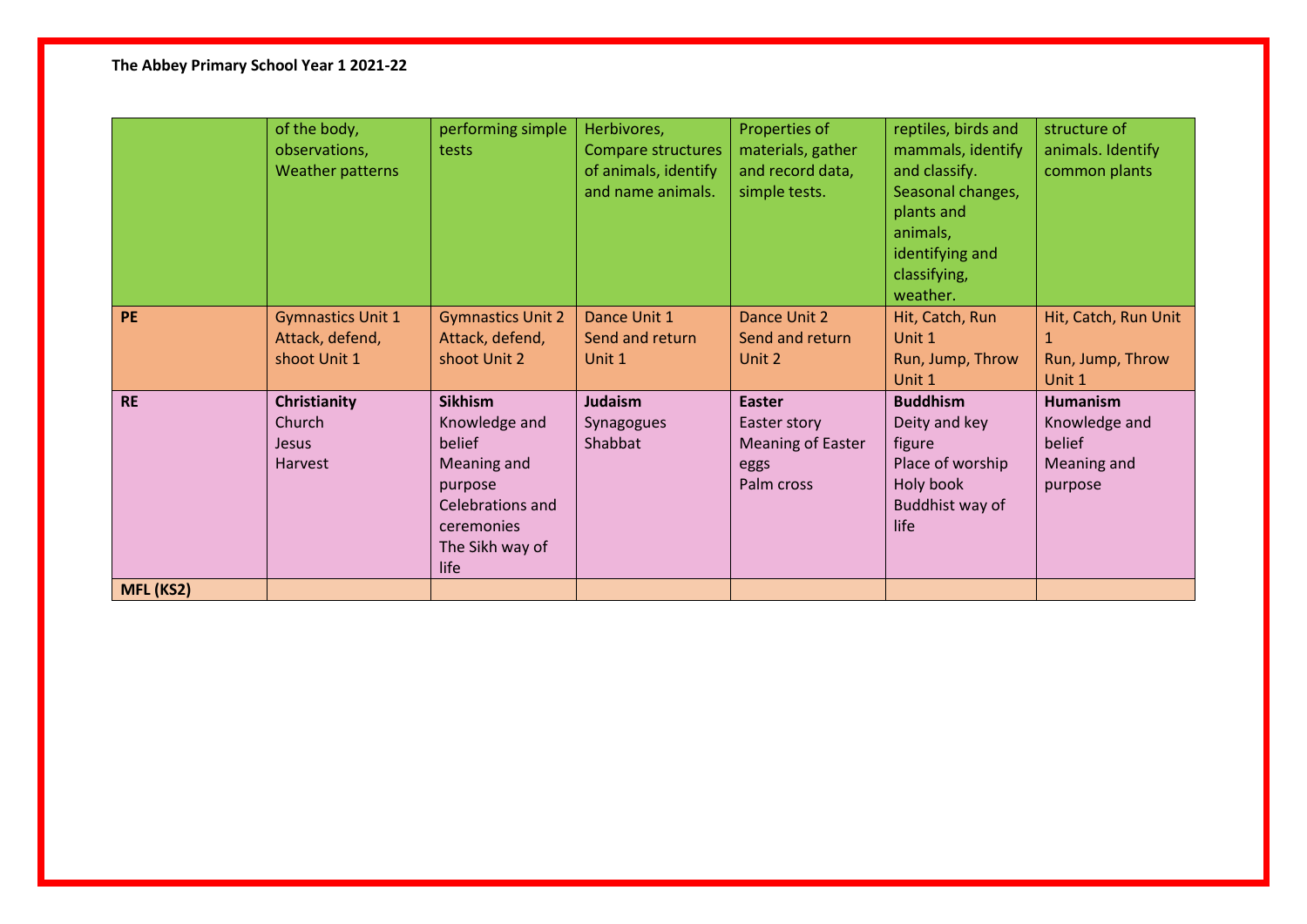## **The Abbey Primary School Year 1 2021-22**

|                  | of the body,<br>observations,<br>Weather patterns           | performing simple<br>tests                                                                                                       | Herbivores,<br>Compare structures<br>of animals, identify<br>and name animals. | Properties of<br>materials, gather<br>and record data,<br>simple tests.         | reptiles, birds and<br>mammals, identify<br>and classify.<br>Seasonal changes,<br>plants and<br>animals,<br>identifying and<br>classifying,<br>weather. | structure of<br>animals. Identify<br>common plants                   |
|------------------|-------------------------------------------------------------|----------------------------------------------------------------------------------------------------------------------------------|--------------------------------------------------------------------------------|---------------------------------------------------------------------------------|---------------------------------------------------------------------------------------------------------------------------------------------------------|----------------------------------------------------------------------|
| <b>PE</b>        | <b>Gymnastics Unit 1</b><br>Attack, defend,<br>shoot Unit 1 | <b>Gymnastics Unit 2</b><br>Attack, defend,<br>shoot Unit 2                                                                      | Dance Unit 1<br>Send and return<br>Unit 1                                      | Dance Unit 2<br>Send and return<br>Unit 2                                       | Hit, Catch, Run<br>Unit 1<br>Run, Jump, Throw<br>Unit 1                                                                                                 | Hit, Catch, Run Unit<br>1<br>Run, Jump, Throw<br>Unit 1              |
| <b>RE</b>        | Christianity<br>Church<br><b>Jesus</b><br>Harvest           | <b>Sikhism</b><br>Knowledge and<br>belief<br>Meaning and<br>purpose<br>Celebrations and<br>ceremonies<br>The Sikh way of<br>life | <b>Judaism</b><br>Synagogues<br>Shabbat                                        | <b>Easter</b><br>Easter story<br><b>Meaning of Easter</b><br>eggs<br>Palm cross | <b>Buddhism</b><br>Deity and key<br>figure<br>Place of worship<br>Holy book<br>Buddhist way of<br>life                                                  | <b>Humanism</b><br>Knowledge and<br>belief<br>Meaning and<br>purpose |
| <b>MFL (KS2)</b> |                                                             |                                                                                                                                  |                                                                                |                                                                                 |                                                                                                                                                         |                                                                      |